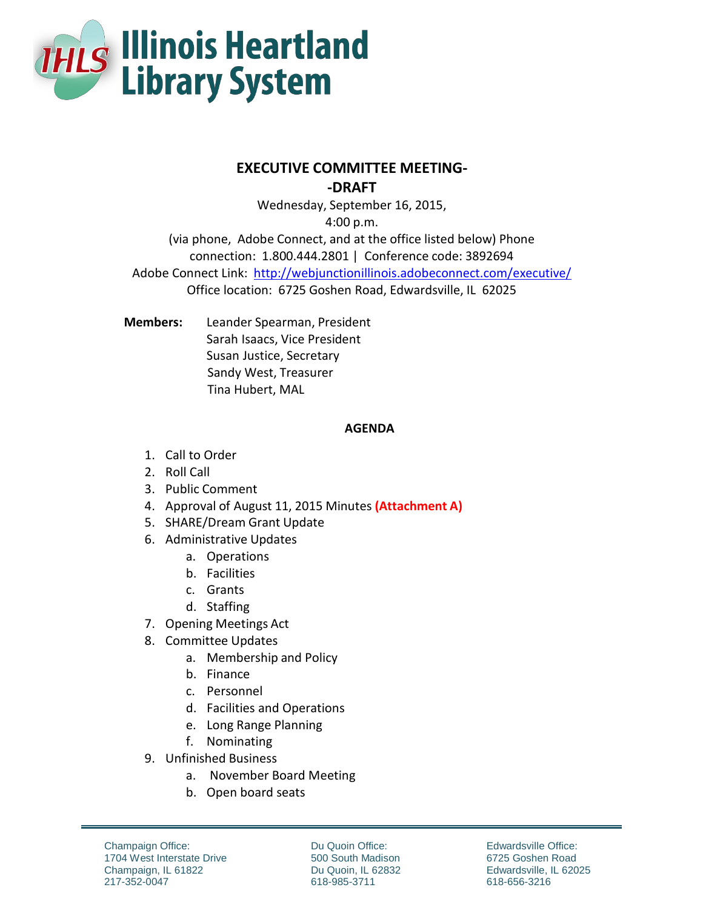

## **EXECUTIVE COMMITTEE MEETING-**

**-DRAFT**

Wednesday, September 16, 2015, 4:00 p.m.

(via phone, Adobe Connect, and at the office listed below) Phone connection: 1.800.444.2801 | Conference code: 3892694 Adobe Connect Link: http://webjunctionillinois.adobeconnect.com/executive/ Office location: 6725 Goshen Road, Edwardsville, IL 62025

**Members:** Leander Spearman, President Sarah Isaacs, Vice President Susan Justice, Secretary Sandy West, Treasurer Tina Hubert, MAL

## **AGENDA**

- 1. Call to Order
- 2. Roll Call
- 3. Public Comment
- 4. Approval of August 11, 2015 Minutes **(Attachment A)**
- 5. SHARE/Dream Grant Update
- 6. Administrative Updates
	- a. Operations
	- b. Facilities
	- c. Grants
	- d. Staffing
- 7. Opening Meetings Act
- 8. Committee Updates
	- a. Membership and Policy
	- b. Finance
	- c. Personnel
	- d. Facilities and Operations
	- e. Long Range Planning
	- f. Nominating
- 9. Unfinished Business
	- a. November Board Meeting
	- b. Open board seats

Champaign Office: 1704 West Interstate Drive Champaign, IL 61822 217-352-0047

Du Quoin Office: 500 South Madison Du Quoin, IL 62832 618-985-3711

Edwardsville Office: 6725 Goshen Road Edwardsville, IL 62025 618-656-3216